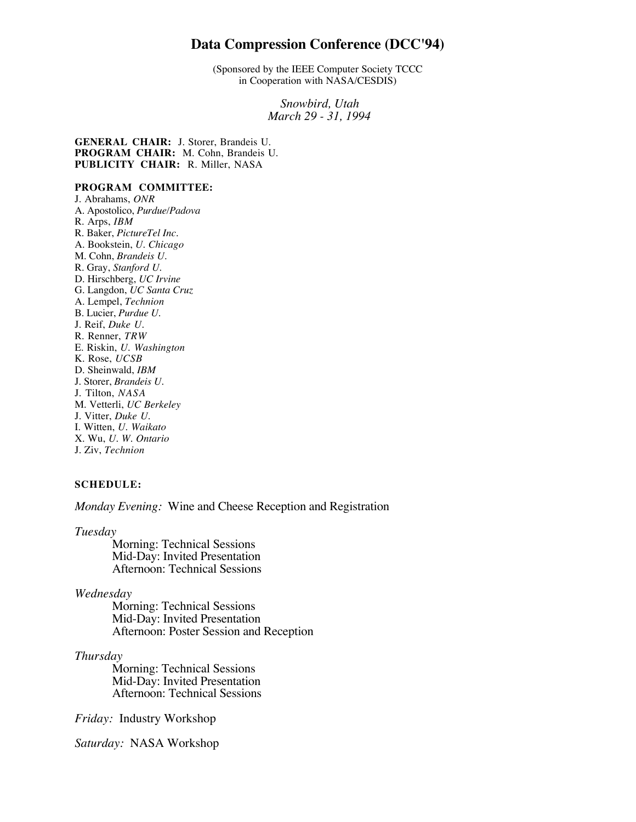# **Data Compression Conference (DCC'94)**

(Sponsored by the IEEE Computer Society TCCC in Cooperation with NASA/CESDIS)

> *Snowbird, Utah March 29 - 31, 1994*

**GENERAL CHAIR:** J. Storer, Brandeis U. **PROGRAM CHAIR:** M. Cohn, Brandeis U. **PUBLICITY CHAIR:** R. Miller, NASA

## **PROGRAM COMMITTEE:**

J. Abrahams, *ONR* A. Apostolico, *Purdue/Padova* R. Arps, *IBM* R. Baker, *PictureTel Inc.* A. Bookstein, *U. Chicago* M. Cohn, *Brandeis U.* R. Gray, *Stanford U.* D. Hirschberg, *UC Irvine* G. Langdon, *UC Santa Cruz* A. Lempel, *Technion* B. Lucier, *Purdue U.* J. Reif, *Duke U.* R. Renner, *TRW* E. Riskin, *U. Washington* K. Rose, *UCSB* D. Sheinwald, *IBM* J. Storer, *Brandeis U.* J. Tilton, *NASA* M. Vetterli, *UC Berkeley* J. Vitter, *Duke U.* I. Witten, *U. Waikato* X. Wu, *U. W. Ontario* J. Ziv, *Technion*

## **SCHEDULE:**

*Monday Evening:* Wine and Cheese Reception and Registration

*Tuesday*

Morning: Technical Sessions Mid-Day: Invited Presentation Afternoon: Technical Sessions

## *Wednesday*

Morning: Technical Sessions Mid-Day: Invited Presentation Afternoon: Poster Session and Reception

## *Thursday*

Morning: Technical Sessions Mid-Day: Invited Presentation Afternoon: Technical Sessions

*Friday:* Industry Workshop

*Saturday:* NASA Workshop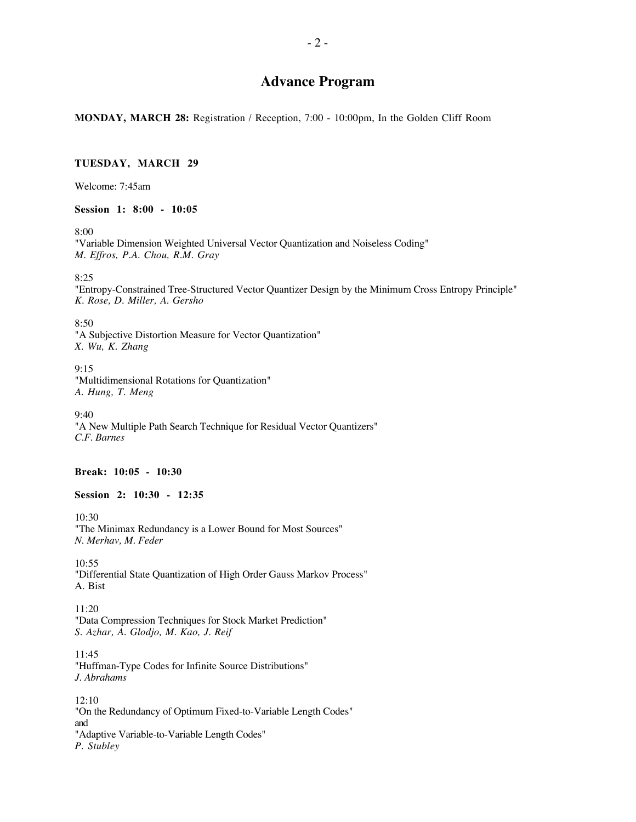# **Advance Program**

**MONDAY, MARCH 28:** Registration / Reception, 7:00 - 10:00pm, In the Golden Cliff Room

#### **TUESDAY, MARCH 29**

Welcome: 7:45am

**Session 1: 8:00 - 10:05**

8:00

"Variable Dimension Weighted Universal Vector Quantization and Noiseless Coding" *M. Effros, P.A. Chou, R.M. Gray*

8:25

"Entropy-Constrained Tree-Structured Vector Quantizer Design by the Minimum Cross Entropy Principle" *K. Rose, D. Miller, A. Gersho*

8:50

"A Subjective Distortion Measure for Vector Quantization" *X. Wu, K. Zhang*

9:15 "Multidimensional Rotations for Quantization" *A. Hung, T. Meng*

9:40 "A New Multiple Path Search Technique for Residual Vector Quantizers" *C.F. Barnes*

**Break: 10:05 - 10:30**

**Session 2: 10:30 - 12:35**

10:30 "The Minimax Redundancy is a Lower Bound for Most Sources" *N. Merhav, M. Feder*

10:55 "Differential State Quantization of High Order Gauss Markov Process" A. Bist

11:20 "Data Compression Techniques for Stock Market Prediction" *S. Azhar, A. Glodjo, M. Kao, J. Reif*

11:45 "Huffman-Type Codes for Infinite Source Distributions" *J. Abrahams*

12:10 "On the Redundancy of Optimum Fixed-to-Variable Length Codes" and "Adaptive Variable-to-Variable Length Codes" *P. Stubley*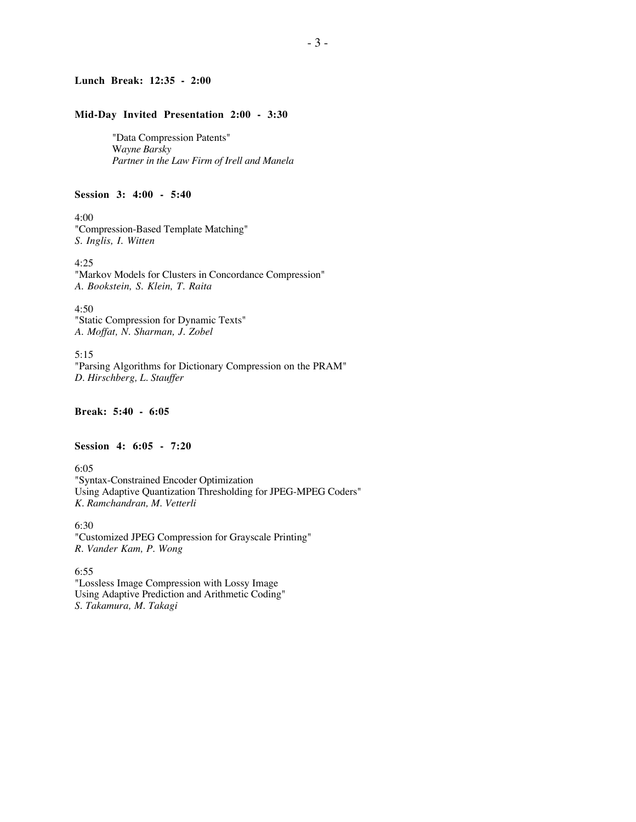## **Lunch Break: 12:35 - 2:00**

#### **Mid-Day Invited Presentation 2:00 - 3:30**

"Data Compression Patents" W*ayne Barsky Partner in the Law Firm of Irell and Manela*

#### **Session 3: 4:00 - 5:40**

4:00 "Compression-Based Template Matching" *S. Inglis, I. Witten*

4:25 "Markov Models for Clusters in Concordance Compression" *A. Bookstein, S. Klein, T. Raita*

4:50 "Static Compression for Dynamic Texts" *A. Moffat, N. Sharman, J. Zobel*

5:15 "Parsing Algorithms for Dictionary Compression on the PRAM" *D. Hirschberg, L. Stauffer*

**Break: 5:40 - 6:05**

**Session 4: 6:05 - 7:20**

6:05 "Syntax-Constrained Encoder Optimization Using Adaptive Quantization Thresholding for JPEG-MPEG Coders" *K. Ramchandran, M. Vetterli*

6:30 "Customized JPEG Compression for Grayscale Printing" *R. Vander Kam, P. Wong*

6:55 "Lossless Image Compression with Lossy Image Using Adaptive Prediction and Arithmetic Coding" *S. Takamura, M. Takagi*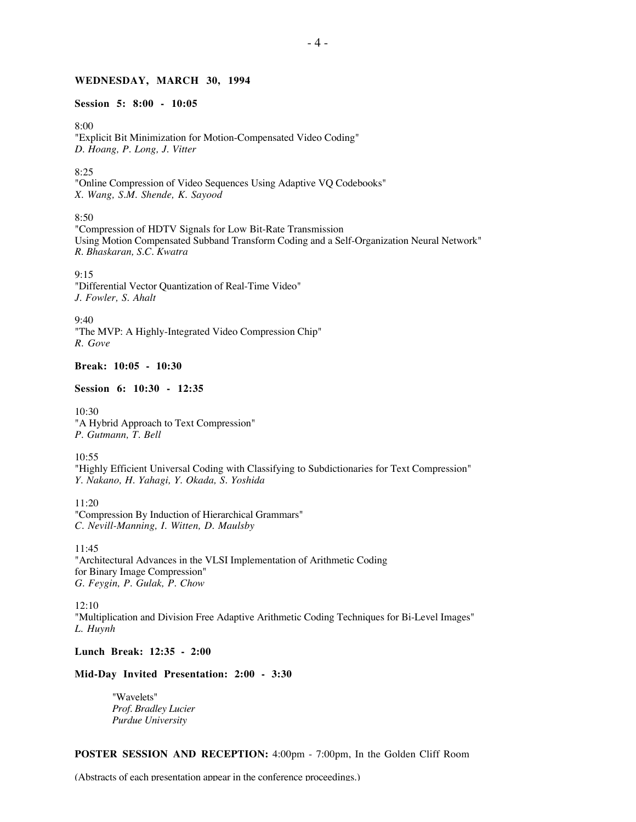#### **WEDNESDAY, MARCH 30, 1994**

## **Session 5: 8:00 - 10:05**

8:00

"Explicit Bit Minimization for Motion-Compensated Video Coding" *D. Hoang, P. Long, J. Vitter*

8:25

"Online Compression of Video Sequences Using Adaptive VQ Codebooks" *X. Wang, S.M. Shende, K. Sayood*

8:50

"Compression of HDTV Signals for Low Bit-Rate Transmission Using Motion Compensated Subband Transform Coding and a Self-Organization Neural Network" *R. Bhaskaran, S.C. Kwatra*

9:15 "Differential Vector Quantization of Real-Time Video" *J. Fowler, S. Ahalt*

9:40 "The MVP: A Highly-Integrated Video Compression Chip" *R. Gove*

## **Break: 10:05 - 10:30**

#### **Session 6: 10:30 - 12:35**

10:30 "A Hybrid Approach to Text Compression" *P. Gutmann, T. Bell*

10:55 "Highly Efficient Universal Coding with Classifying to Subdictionaries for Text Compression" *Y. Nakano, H. Yahagi, Y. Okada, S. Yoshida*

11:20 "Compression By Induction of Hierarchical Grammars" *C. Nevill-Manning, I. Witten, D. Maulsby*

11:45 "Architectural Advances in the VLSI Implementation of Arithmetic Coding for Binary Image Compression" *G. Feygin, P. Gulak, P. Chow*

12:10 "Multiplication and Division Free Adaptive Arithmetic Coding Techniques for Bi-Level Images" *L. Huynh*

**Lunch Break: 12:35 - 2:00**

### **Mid-Day Invited Presentation: 2:00 - 3:30**

"Wavelets" *Prof. Bradley Lucier Purdue University*

**POSTER SESSION AND RECEPTION:** 4:00pm - 7:00pm, In the Golden Cliff Room

(Abstracts of each presentation appear in the conference proceedings.)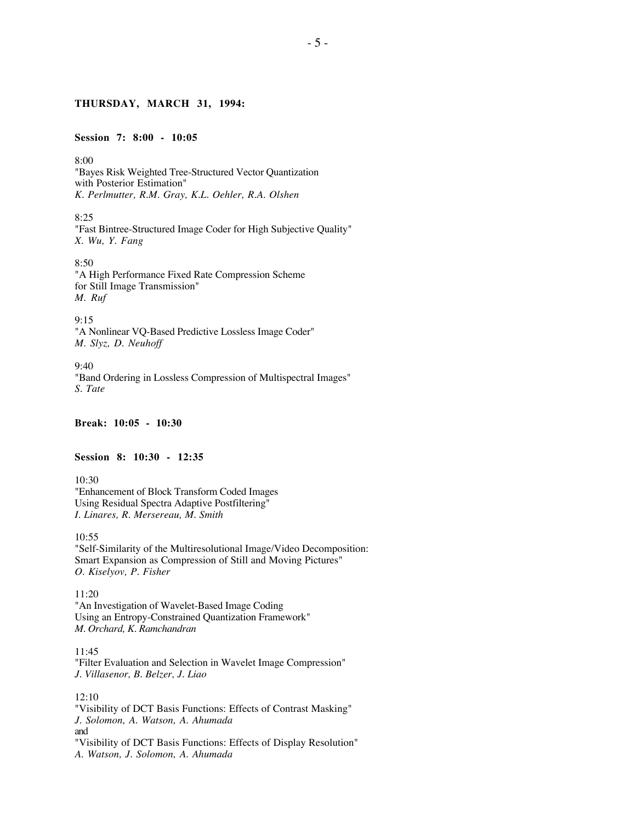## **THURSDAY, MARCH 31, 1994:**

#### **Session 7: 8:00 - 10:05**

8:00 "Bayes Risk Weighted Tree-Structured Vector Quantization with Posterior Estimation" *K. Perlmutter, R.M. Gray, K.L. Oehler, R.A. Olshen*

8:25 "Fast Bintree-Structured Image Coder for High Subjective Quality" *X. Wu, Y. Fang*

8:50 "A High Performance Fixed Rate Compression Scheme for Still Image Transmission" *M. Ruf*

9:15 "A Nonlinear VQ-Based Predictive Lossless Image Coder" *M. Slyz, D. Neuhoff*

9:40 "Band Ordering in Lossless Compression of Multispectral Images" *S. Tate*

**Break: 10:05 - 10:30**

### **Session 8: 10:30 - 12:35**

10:30 "Enhancement of Block Transform Coded Images Using Residual Spectra Adaptive Postfiltering" *I. Linares, R. Mersereau, M. Smith*

10:55 "Self-Similarity of the Multiresolutional Image/Video Decomposition: Smart Expansion as Compression of Still and Moving Pictures" *O. Kiselyov, P. Fisher*

11:20 "An Investigation of Wavelet-Based Image Coding Using an Entropy-Constrained Quantization Framework" *M. Orchard, K. Ramchandran*

11:45 "Filter Evaluation and Selection in Wavelet Image Compression" *J. Villasenor, B. Belzer, J. Liao*

12:10 "Visibility of DCT Basis Functions: Effects of Contrast Masking" *J. Solomon, A. Watson, A. Ahumada* and "Visibility of DCT Basis Functions: Effects of Display Resolution" *A. Watson, J. Solomon, A. Ahumada*